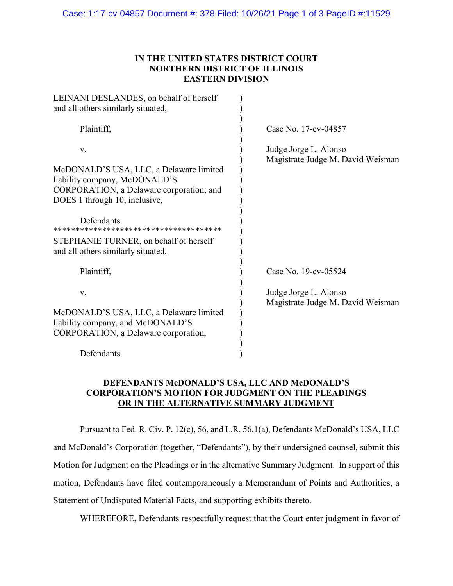## **IN THE UNITED STATES DISTRICT COURT NORTHERN DISTRICT OF ILLINOIS EASTERN DIVISION**

| Case No. 17-cv-04857                                       |
|------------------------------------------------------------|
| Judge Jorge L. Alonso<br>Magistrate Judge M. David Weisman |
| Case No. 19-cv-05524                                       |
| Judge Jorge L. Alonso<br>Magistrate Judge M. David Weisman |
|                                                            |

## **DEFENDANTS McDONALD'S USA, LLC AND McDONALD'S CORPORATION'S MOTION FOR JUDGMENT ON THE PLEADINGS OR IN THE ALTERNATIVE SUMMARY JUDGMENT**

Pursuant to Fed. R. Civ. P. 12(c), 56, and L.R. 56.1(a), Defendants McDonald's USA, LLC and McDonald's Corporation (together, "Defendants"), by their undersigned counsel, submit this Motion for Judgment on the Pleadings or in the alternative Summary Judgment. In support of this motion, Defendants have filed contemporaneously a Memorandum of Points and Authorities, a Statement of Undisputed Material Facts, and supporting exhibits thereto.

WHEREFORE, Defendants respectfully request that the Court enter judgment in favor of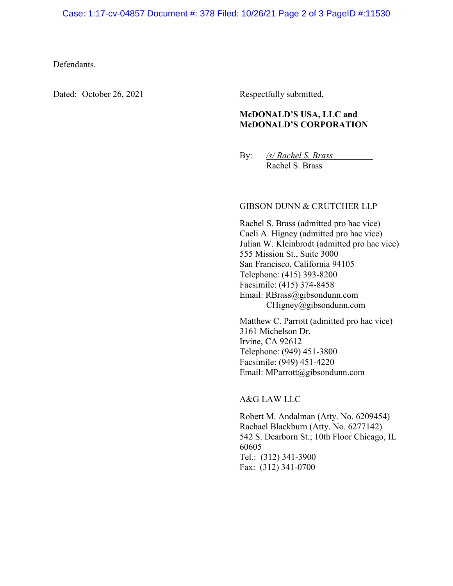#### Defendants.

Dated: October 26, 2021 Respectfully submitted,

# **McDONALD'S USA, LLC and McDONALD'S CORPORATION**

By: */s/ Rachel S. Brass* Rachel S. Brass

#### GIBSON DUNN & CRUTCHER LLP

Rachel S. Brass (admitted pro hac vice) Caeli A. Higney (admitted pro hac vice) Julian W. Kleinbrodt (admitted pro hac vice) 555 Mission St., Suite 3000 San Francisco, California 94105 Telephone: (415) 393-8200 Facsimile: (415) 374-8458 Email: RBrass@gibsondunn.com CHigney@gibsondunn.com

Matthew C. Parrott (admitted pro hac vice) 3161 Michelson Dr. Irvine, CA 92612 Telephone: (949) 451-3800 Facsimile: (949) 451-4220 Email: MParrott@gibsondunn.com

### A&G LAW LLC

Robert M. Andalman (Atty. No. 6209454) Rachael Blackburn (Atty. No. 6277142) 542 S. Dearborn St.; 10th Floor Chicago, IL 60605 Tel.: (312) 341-3900 Fax: (312) 341-0700